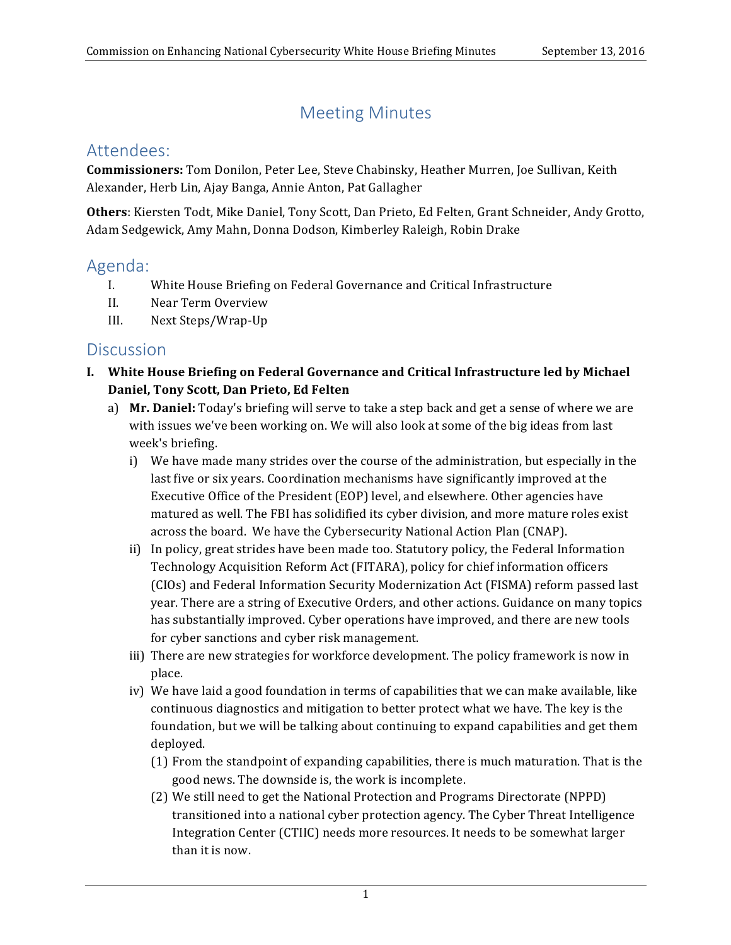# Meeting Minutes

### Attendees:

 **Commissioners:** Tom Donilon, Peter Lee, Steve Chabinsky, Heather Murren, Joe Sullivan, Keith Alexander, Herb Lin, Ajay Banga, Annie Anton, Pat Gallagher

Others: Kiersten Todt, Mike Daniel, Tony Scott, Dan Prieto, Ed Felten, Grant Schneider, Andy Grotto, Adam Sedgewick, Amy Mahn, Donna Dodson, Kimberley Raleigh, Robin Drake

### Agenda:

- I. White House Briefing on Federal Governance and Critical Infrastructure
- II. Near Term Overview
- III. Next Steps/Wrap-Up

## **Discussion**

- **I. White House Briefing on Federal Governance and Critical Infrastructure led by Michael Daniel, Tony Scott, Dan Prieto, Ed Felten** 
	- a) Mr. Daniel: Today's briefing will serve to take a step back and get a sense of where we are with issues we've been working on. We will also look at some of the big ideas from last week's briefing.
		- i) We have made many strides over the course of the administration, but especially in the last five or six years. Coordination mechanisms have significantly improved at the Executive Office of the President (EOP) level, and elsewhere. Other agencies have matured as well. The FBI has solidified its cyber division, and more mature roles exist across the board. We have the Cybersecurity National Action Plan (CNAP).
		- ii) In policy, great strides have been made too. Statutory policy, the Federal Information Technology Acquisition Reform Act (FITARA), policy for chief information officers (CIOs) and Federal Information Security Modernization Act (FISMA) reform passed last has substantially improved. Cyber operations have improved, and there are new tools for cyber sanctions and cyber risk management. year. There are a string of Executive Orders, and other actions. Guidance on many topics
		- iii) There are new strategies for workforce development. The policy framework is now in place.
		- iv) We have laid a good foundation in terms of capabilities that we can make available, like continuous diagnostics and mitigation to better protect what we have. The key is the foundation, but we will be talking about continuing to expand capabilities and get them deployed.
			- (1) From the standpoint of expanding capabilities, there is much maturation. That is the good news. The downside is, the work is incomplete.
			- (2) We still need to get the National Protection and Programs Directorate (NPPD) transitioned into a national cyber protection agency. The Cyber Threat Intelligence Integration Center (CTIIC) needs more resources. It needs to be somewhat larger than it is now.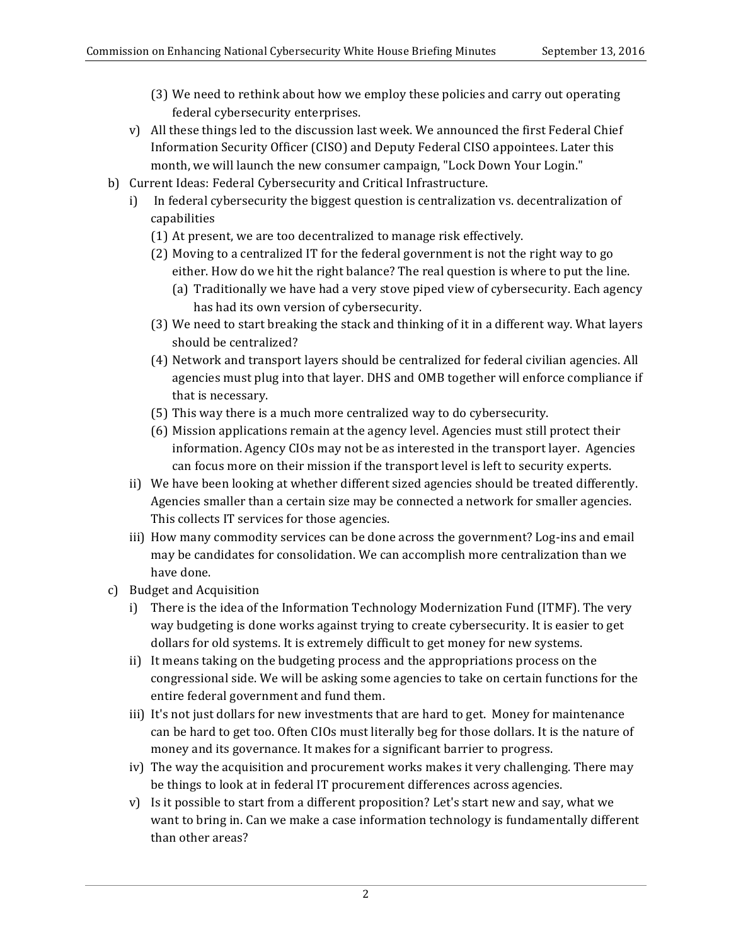- (3) We need to rethink about how we employ these policies and carry out operating federal cybersecurity enterprises.
- v) All these things led to the discussion last week. We announced the first Federal Chief Information Security Officer (CISO) and Deputy Federal CISO appointees. Later this month, we will launch the new consumer campaign, "Lock Down Your Login."
- b) Current Ideas: Federal Cybersecurity and Critical Infrastructure.
	- i) In federal cybersecurity the biggest question is centralization vs. decentralization of capabilities
		- (1) At present, we are too decentralized to manage risk effectively.
		- (2) Moving to a centralized IT for the federal government is not the right way to go either. How do we hit the right balance? The real question is where to put the line.
			- (a) Traditionally we have had a very stove piped view of cybersecurity. Each agency has had its own version of cybersecurity.
		- (3) We need to start breaking the stack and thinking of it in a different way. What layers should be centralized?
		- (4) Network and transport layers should be centralized for federal civilian agencies. All agencies must plug into that layer. DHS and OMB together will enforce compliance if that is necessary.
		- (5) This way there is a much more centralized way to do cybersecurity.
		- (6) Mission applications remain at the agency level. Agencies must still protect their information. Agency CIOs may not be as interested in the transport layer. Agencies can focus more on their mission if the transport level is left to security experts.
	- ii) We have been looking at whether different sized agencies should be treated differently. Agencies smaller than a certain size may be connected a network for smaller agencies. This collects IT services for those agencies.
	- iii) How many commodity services can be done across the government? Log-ins and email may be candidates for consolidation. We can accomplish more centralization than we have done.
- c) Budget and Acquisition
	- i) There is the idea of the Information Technology Modernization Fund (ITMF). The very way budgeting is done works against trying to create cybersecurity. It is easier to get dollars for old systems. It is extremely difficult to get money for new systems.
	- ii) It means taking on the budgeting process and the appropriations process on the congressional side. We will be asking some agencies to take on certain functions for the entire federal government and fund them.
	- iii) It's not just dollars for new investments that are hard to get. Money for maintenance can be hard to get too. Often CIOs must literally beg for those dollars. It is the nature of money and its governance. It makes for a significant barrier to progress.
	- iv) The way the acquisition and procurement works makes it very challenging. There may be things to look at in federal IT procurement differences across agencies.
	- v) Is it possible to start from a different proposition? Let's start new and say, what we want to bring in. Can we make a case information technology is fundamentally different than other areas?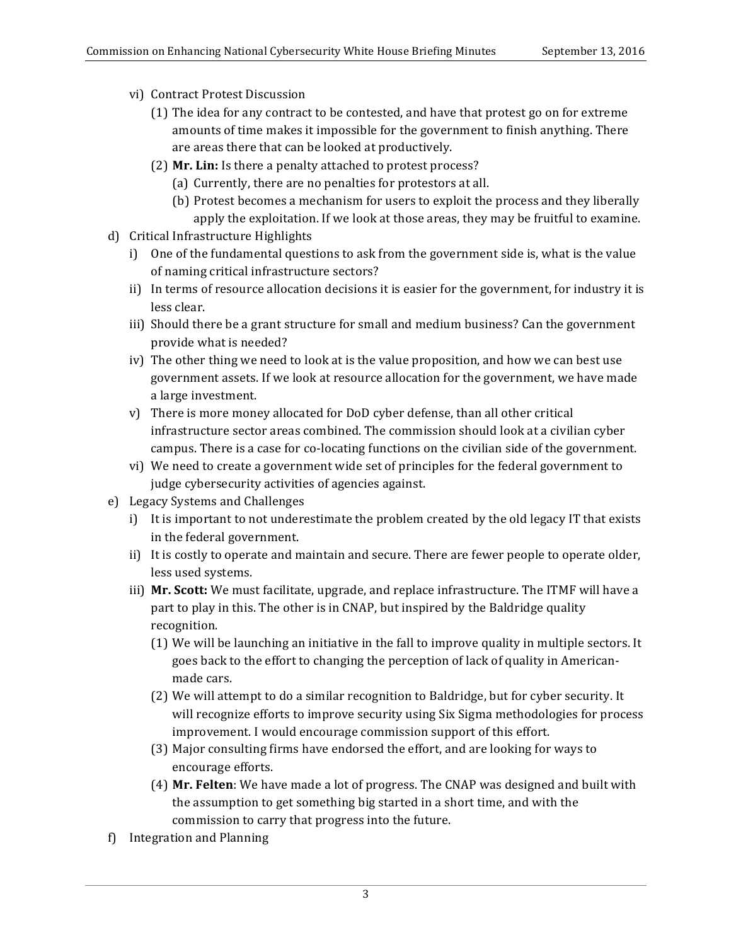- vi) Contract Protest Discussion
	- $(1)$  The idea for any contract to be contested, and have that protest go on for extreme amounts of time makes it impossible for the government to finish anything. There are areas there that can be looked at productively.
	- (2) Mr. Lin: Is there a penalty attached to protest process?
		- (a) Currently, there are no penalties for protestors at all.
		- (b) Protest becomes a mechanism for users to exploit the process and they liberally apply the exploitation. If we look at those areas, they may be fruitful to examine.
- d) Critical Infrastructure Highlights
	- i) One of the fundamental questions to ask from the government side is, what is the value of naming critical infrastructure sectors?
	- ii) In terms of resource allocation decisions it is easier for the government, for industry it is less clear.
	- iii) Should there be a grant structure for small and medium business? Can the government provide what is needed?
	- iv) The other thing we need to look at is the value proposition, and how we can best use government assets. If we look at resource allocation for the government, we have made a large investment.
	- v) There is more money allocated for DoD cyber defense, than all other critical infrastructure sector areas combined. The commission should look at a civilian cyber campus. There is a case for co-locating functions on the civilian side of the government.
	- vi) We need to create a government wide set of principles for the federal government to judge cybersecurity activities of agencies against.
- e) Legacy Systems and Challenges
	- i) It is important to not underestimate the problem created by the old legacy IT that exists in the federal government.
	- ii) It is costly to operate and maintain and secure. There are fewer people to operate older, less used systems.
	- iii) **Mr. Scott:** We must facilitate, upgrade, and replace infrastructure. The ITMF will have a part to play in this. The other is in CNAP, but inspired by the Baldridge quality recognition.
		- (1) We will be launching an initiative in the fall to improve quality in multiple sectors. It goes back to the effort to changing the perception of lack of quality in Americanmade cars.
		- (2) We will attempt to do a similar recognition to Baldridge, but for cyber security. It will recognize efforts to improve security using Six Sigma methodologies for process improvement. I would encourage commission support of this effort.
		- (3) Major consulting firms have endorsed the effort, and are looking for ways to encourage efforts.
		- (4) **Mr. Felten**: We have made a lot of progress. The CNAP was designed and built with the assumption to get something big started in a short time, and with the commission to carry that progress into the future.
- f) Integration and Planning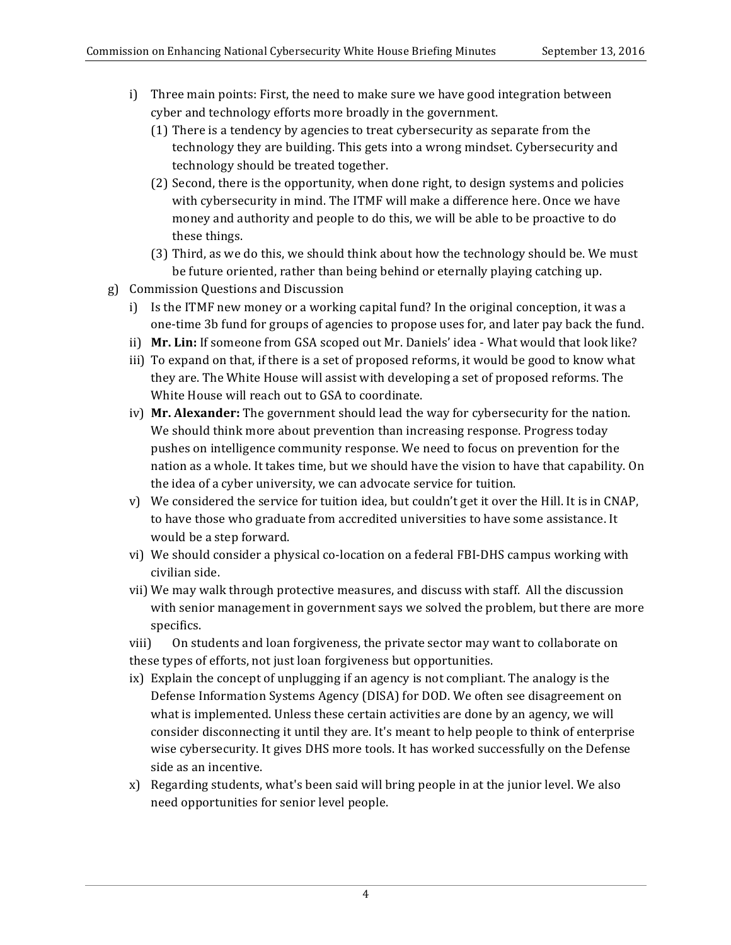- i) Three main points: First, the need to make sure we have good integration between cyber and technology efforts more broadly in the government.
	- (1) There is a tendency by agencies to treat cybersecurity as separate from the technology they are building. This gets into a wrong mindset. Cybersecurity and technology should be treated together.
	- (2) Second, there is the opportunity, when done right, to design systems and policies with cybersecurity in mind. The ITMF will make a difference here. Once we have money and authority and people to do this, we will be able to be proactive to do these things.
	- (3) Third, as we do this, we should think about how the technology should be. We must be future oriented, rather than being behind or eternally playing catching up.
- g) Commission Questions and Discussion
	- i) Is the ITMF new money or a working capital fund? In the original conception, it was a one-time 3b fund for groups of agencies to propose uses for, and later pay back the fund.
	- ii) **Mr. Lin:** If someone from GSA scoped out Mr. Daniels' idea What would that look like?
	- iii) To expand on that, if there is a set of proposed reforms, it would be good to know what they are. The White House will assist with developing a set of proposed reforms. The White House will reach out to GSA to coordinate.
	- iv) **Mr. Alexander:** The government should lead the way for cybersecurity for the nation. We should think more about prevention than increasing response. Progress today pushes on intelligence community response. We need to focus on prevention for the nation as a whole. It takes time, but we should have the vision to have that capability. On the idea of a cyber university, we can advocate service for tuition.
	- v) We considered the service for tuition idea, but couldn't get it over the Hill. It is in CNAP, to have those who graduate from accredited universities to have some assistance. It would be a step forward.
	- vi) We should consider a physical co-location on a federal FBI-DHS campus working with civilian side.
	- vii) We may walk through protective measures, and discuss with staff. All the discussion with senior management in government says we solved the problem, but there are more specifics.

 viii) On students and loan forgiveness, the private sector may want to collaborate on these types of efforts, not just loan forgiveness but opportunities.

- ix) Explain the concept of unplugging if an agency is not compliant. The analogy is the Defense Information Systems Agency (DISA) for DOD. We often see disagreement on what is implemented. Unless these certain activities are done by an agency, we will consider disconnecting it until they are. It's meant to help people to think of enterprise wise cybersecurity. It gives DHS more tools. It has worked successfully on the Defense side as an incentive.
- x) Regarding students, what's been said will bring people in at the junior level. We also need opportunities for senior level people.